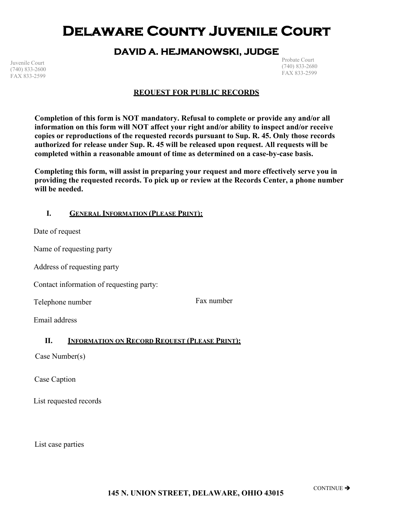# **Delaware County Juvenile Court**

### **DAVID A. HEJMANOWSKI, JUDGE**

Juvenile Court (740) 833-2600 FAX 833-2599

Probate Court (740) 833-2680 FAX 833-2599

#### **REQUEST FOR PUBLIC RECORDS**

**Completion of this form is NOT mandatory. Refusal to complete or provide any and/or all information on this form will NOT affect your right and/or ability to inspect and/or receive copies or reproductions of the requested records pursuant to Sup. R. 45. Only those records authorized for release under Sup. R. 45 will be released upon request. All requests will be completed within a reasonable amount of time as determined on a case-by-case basis.**

**Completing this form, will assist in preparing your request and more effectively serve you in providing the requested records. To pick up or review at the Records Center, a phone number will be needed.**

#### **I. GENERAL INFORMATION (PLEASE PRINT):**

Date of request

Name of requesting party

Address of requesting party

Contact information of requesting party:

Telephone number

Fax number

Email address

#### **II. INFORMATION ON RECORD REQUEST (PLEASE PRINT):**

Case Number(s)

Case Caption

List requested records

List case parties